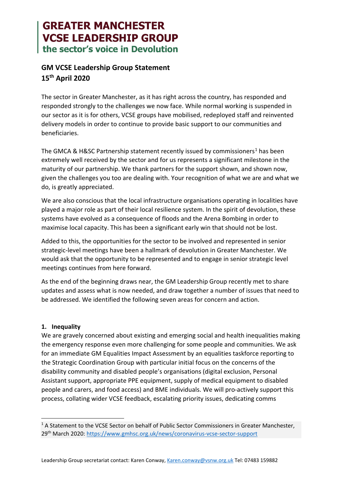# **GREATER MANCHESTER VCSE LEADERSHIP GROUP** the sector's voice in Devolution

# **GM VCSE Leadership Group Statement 15th April 2020**

The sector in Greater Manchester, as it has right across the country, has responded and responded strongly to the challenges we now face. While normal working is suspended in our sector as it is for others, VCSE groups have mobilised, redeployed staff and reinvented delivery models in order to continue to provide basic support to our communities and beneficiaries.

The GMCA & H&SC Partnership statement recently issued by commissioners<sup>[1](#page-0-0)</sup> has been extremely well received by the sector and for us represents a significant milestone in the maturity of our partnership. We thank partners for the support shown, and shown now, given the challenges you too are dealing with. Your recognition of what we are and what we do, is greatly appreciated.

We are also conscious that the local infrastructure organisations operating in localities have played a major role as part of their local resilience system. In the spirit of devolution, these systems have evolved as a consequence of floods and the Arena Bombing in order to maximise local capacity. This has been a significant early win that should not be lost.

Added to this, the opportunities for the sector to be involved and represented in senior strategic-level meetings have been a hallmark of devolution in Greater Manchester. We would ask that the opportunity to be represented and to engage in senior strategic level meetings continues from here forward.

As the end of the beginning draws near, the GM Leadership Group recently met to share updates and assess what is now needed, and draw together a number of issues that need to be addressed. We identified the following seven areas for concern and action.

# **1. Inequality**

We are gravely concerned about existing and emerging social and health inequalities making the emergency response even more challenging for some people and communities. We ask for an immediate GM Equalities Impact Assessment by an equalities taskforce reporting to the Strategic Coordination Group with particular initial focus on the concerns of the disability community and disabled people's organisations (digital exclusion, Personal Assistant support, appropriate PPE equipment, supply of medical equipment to disabled people and carers, and food access) and BME individuals. We will pro-actively support this process, collating wider VCSE feedback, escalating priority issues, dedicating comms

<span id="page-0-0"></span><sup>&</sup>lt;sup>1</sup> A Statement to the VCSE Sector on behalf of Public Sector Commissioners in Greater Manchester, 29th March 2020:<https://www.gmhsc.org.uk/news/coronavirus-vcse-sector-support>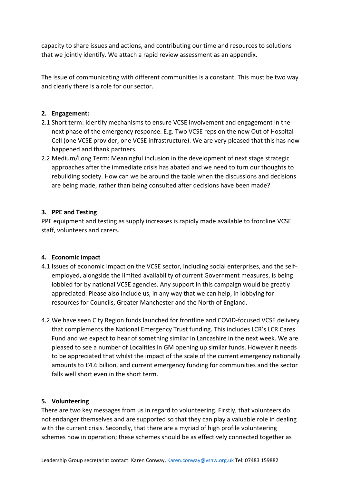capacity to share issues and actions, and contributing our time and resources to solutions that we jointly identify. We attach a rapid review assessment as an appendix.

The issue of communicating with different communities is a constant. This must be two way and clearly there is a role for our sector.

## **2. Engagement:**

- 2.1 Short term: Identify mechanisms to ensure VCSE involvement and engagement in the next phase of the emergency response. E.g. Two VCSE reps on the new Out of Hospital Cell (one VCSE provider, one VCSE infrastructure). We are very pleased that this has now happened and thank partners.
- 2.2 Medium/Long Term: Meaningful inclusion in the development of next stage strategic approaches after the immediate crisis has abated and we need to turn our thoughts to rebuilding society. How can we be around the table when the discussions and decisions are being made, rather than being consulted after decisions have been made?

#### **3. PPE and Testing**

PPE equipment and testing as supply increases is rapidly made available to frontline VCSE staff, volunteers and carers.

#### **4. Economic impact**

- 4.1 Issues of economic impact on the VCSE sector, including social enterprises, and the selfemployed, alongside the limited availability of current Government measures, is being lobbied for by national VCSE agencies. Any support in this campaign would be greatly appreciated. Please also include us, in any way that we can help, in lobbying for resources for Councils, Greater Manchester and the North of England.
- 4.2 We have seen City Region funds launched for frontline and COVID-focused VCSE delivery that complements the National Emergency Trust funding. This includes LCR's LCR Cares Fund and we expect to hear of something similar in Lancashire in the next week. We are pleased to see a number of Localities in GM opening up similar funds. However it needs to be appreciated that whilst the impact of the scale of the current emergency nationally amounts to £4.6 billion, and current emergency funding for communities and the sector falls well short even in the short term.

# **5. Volunteering**

There are two key messages from us in regard to volunteering. Firstly, that volunteers do not endanger themselves and are supported so that they can play a valuable role in dealing with the current crisis. Secondly, that there are a myriad of high profile volunteering schemes now in operation; these schemes should be as effectively connected together as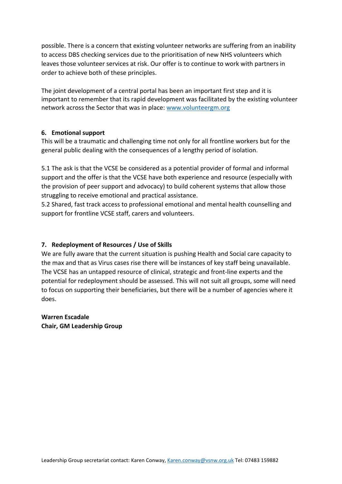possible. There is a concern that existing volunteer networks are suffering from an inability to access DBS checking services due to the prioritisation of new NHS volunteers which leaves those volunteer services at risk. Our offer is to continue to work with partners in order to achieve both of these principles.

The joint development of a central portal has been an important first step and it is important to remember that its rapid development was facilitated by the existing volunteer network across the Sector that was in place: [www.volunteergm.org](http://www.volunteergm.org/)

#### **6. Emotional support**

This will be a traumatic and challenging time not only for all frontline workers but for the general public dealing with the consequences of a lengthy period of isolation.

5.1 The ask is that the VCSE be considered as a potential provider of formal and informal support and the offer is that the VCSE have both experience and resource (especially with the provision of peer support and advocacy) to build coherent systems that allow those struggling to receive emotional and practical assistance.

5.2 Shared, fast track access to professional emotional and mental health counselling and support for frontline VCSE staff, carers and volunteers.

# **7. Redeployment of Resources / Use of Skills**

We are fully aware that the current situation is pushing Health and Social care capacity to the max and that as Virus cases rise there will be instances of key staff being unavailable. The VCSE has an untapped resource of clinical, strategic and front-line experts and the potential for redeployment should be assessed. This will not suit all groups, some will need to focus on supporting their beneficiaries, but there will be a number of agencies where it does.

#### **Warren Escadale**

**Chair, GM Leadership Group**